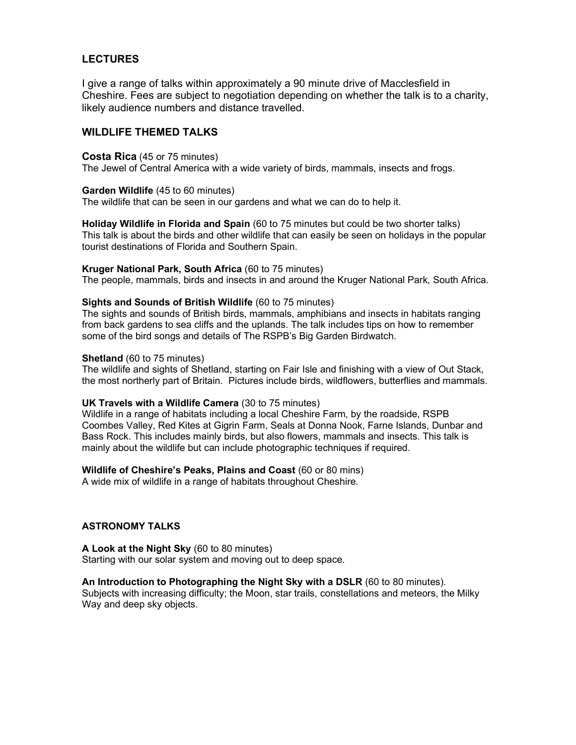# **LECTURES**

I give a range of talks within approximately a 90 minute drive of Macclesfield in Cheshire. Fees are subject to negotiation depending on whether the talk is to a charity, likely audience numbers and distance travelled.

## WILDLIFE THEMED TALKS

### Costa Rica (45 or 75 minutes)

The Jewel of Central America with a wide variety of birds, mammals, insects and frogs.

### Garden Wildlife (45 to 60 minutes)

The wildlife that can be seen in our gardens and what we can do to help it.

Holiday Wildlife in Florida and Spain (60 to 75 minutes but could be two shorter talks) This talk is about the birds and other wildlife that can easily be seen on holidays in the popular tourist destinations of Florida and Southern Spain.

### Kruger National Park, South Africa (60 to 75 minutes)

The people, mammals, birds and insects in and around the Kruger National Park, South Africa.

### Sights and Sounds of British Wildlife (60 to 75 minutes)

The sights and sounds of British birds, mammals, amphibians and insects in habitats ranging from back gardens to sea cliffs and the uplands. The talk includes tips on how to remember some of the bird songs and details of The RSPB's Big Garden Birdwatch.

#### Shetland (60 to 75 minutes)

The wildlife and sights of Shetland, starting on Fair Isle and finishing with a view of Out Stack, the most northerly part of Britain. Pictures include birds, wildflowers, butterflies and mammals.

### UK Travels with a Wildlife Camera (30 to 75 minutes)

Wildlife in a range of habitats including a local Cheshire Farm, by the roadside, RSPB Coombes Valley, Red Kites at Gigrin Farm, Seals at Donna Nook, Farne Islands, Dunbar and Bass Rock. This includes mainly birds, but also flowers, mammals and insects. This talk is mainly about the wildlife but can include photographic techniques if required.

## Wildlife of Cheshire's Peaks, Plains and Coast (60 or 80 mins)

A wide mix of wildlife in a range of habitats throughout Cheshire.

#### ASTRONOMY TALKS

A Look at the Night Sky (60 to 80 minutes) Starting with our solar system and moving out to deep space.

### An Introduction to Photographing the Night Sky with a DSLR (60 to 80 minutes).

Subjects with increasing difficulty; the Moon, star trails, constellations and meteors, the Milky Way and deep sky objects.